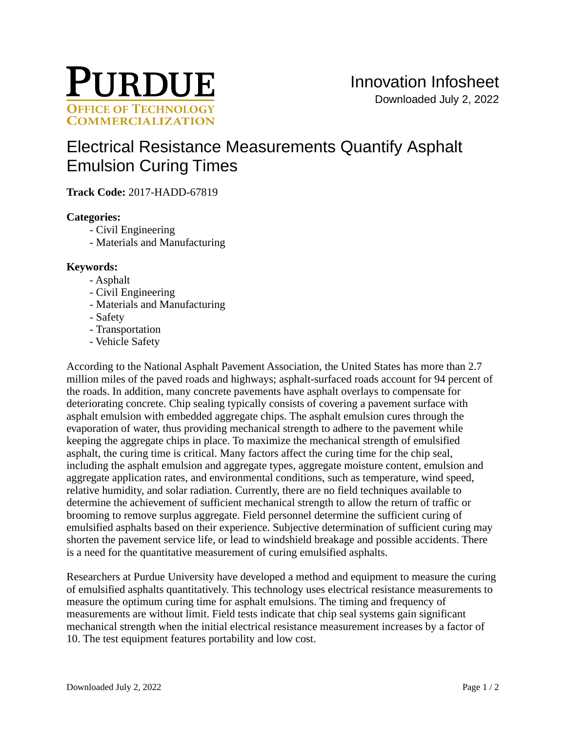

# [Electrical Resistance Measurements Quantify Asphalt](https://inventions.prf.org/innovation/6378)  [Emulsion Curing Times](https://inventions.prf.org/innovation/6378)

**Track Code:** 2017-HADD-67819

### **Categories:**

- Civil Engineering
- Materials and Manufacturing

# **Keywords:**

- Asphalt
- Civil Engineering
- Materials and Manufacturing
- Safety
- Transportation
- Vehicle Safety

According to the National Asphalt Pavement Association, the United States has more than 2.7 million miles of the paved roads and highways; asphalt-surfaced roads account for 94 percent of the roads. In addition, many concrete pavements have asphalt overlays to compensate for deteriorating concrete. Chip sealing typically consists of covering a pavement surface with asphalt emulsion with embedded aggregate chips. The asphalt emulsion cures through the evaporation of water, thus providing mechanical strength to adhere to the pavement while keeping the aggregate chips in place. To maximize the mechanical strength of emulsified asphalt, the curing time is critical. Many factors affect the curing time for the chip seal, including the asphalt emulsion and aggregate types, aggregate moisture content, emulsion and aggregate application rates, and environmental conditions, such as temperature, wind speed, relative humidity, and solar radiation. Currently, there are no field techniques available to determine the achievement of sufficient mechanical strength to allow the return of traffic or brooming to remove surplus aggregate. Field personnel determine the sufficient curing of emulsified asphalts based on their experience. Subjective determination of sufficient curing may shorten the pavement service life, or lead to windshield breakage and possible accidents. There is a need for the quantitative measurement of curing emulsified asphalts.

Researchers at Purdue University have developed a method and equipment to measure the curing of emulsified asphalts quantitatively. This technology uses electrical resistance measurements to measure the optimum curing time for asphalt emulsions. The timing and frequency of measurements are without limit. Field tests indicate that chip seal systems gain significant mechanical strength when the initial electrical resistance measurement increases by a factor of 10. The test equipment features portability and low cost.